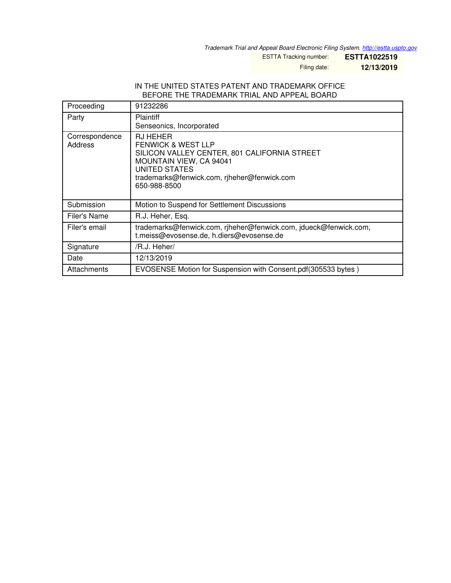*Trademark Trial and Appeal Board Electronic Filing System. <http://estta.uspto.gov>*

ESTTA Tracking number: **ESTTA1022519**

Filing date: **12/13/2019**

## IN THE UNITED STATES PATENT AND TRADEMARK OFFICE BEFORE THE TRADEMARK TRIAL AND APPEAL BOARD

| Proceeding                | 91232286                                                                                                                                                                                                    |
|---------------------------|-------------------------------------------------------------------------------------------------------------------------------------------------------------------------------------------------------------|
| Party                     | Plaintiff<br>Senseonics, Incorporated                                                                                                                                                                       |
| Correspondence<br>Address | <b>RJ HEHER</b><br><b>FENWICK &amp; WEST LLP</b><br>SILICON VALLEY CENTER, 801 CALIFORNIA STREET<br>MOUNTAIN VIEW, CA 94041<br>UNITED STATES<br>trademarks@fenwick.com, riheher@fenwick.com<br>650-988-8500 |
| Submission                | Motion to Suspend for Settlement Discussions                                                                                                                                                                |
| Filer's Name              | R.J. Heher, Esq.                                                                                                                                                                                            |
| Filer's email             | trademarks@fenwick.com, riheher@fenwick.com, jdueck@fenwick.com,<br>t.meiss@evosense.de, h.diers@evosense.de                                                                                                |
| Signature                 | /R.J. Heher/                                                                                                                                                                                                |
| Date                      | 12/13/2019                                                                                                                                                                                                  |
| Attachments               | EVOSENSE Motion for Suspension with Consent.pdf(305533 bytes)                                                                                                                                               |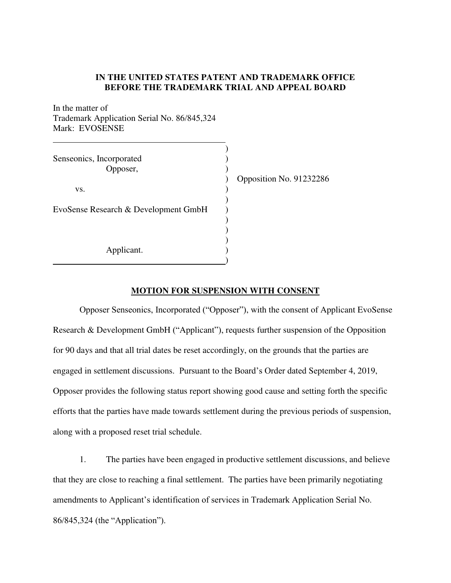## **IN THE UNITED STATES PATENT AND TRADEMARK OFFICE BEFORE THE TRADEMARK TRIAL AND APPEAL BOARD**

In the matter of Trademark Application Serial No. [86/845,324](http://tsdr.uspto.gov/#caseNumber=86845324&caseType=SERIAL_NO&searchType=statusSearch)  Mark: EVOSENSE

| Senseonics, Incorporated<br>Opposer, | Opposition No. 91232286 |
|--------------------------------------|-------------------------|
| VS.                                  |                         |
| EvoSense Research & Development GmbH |                         |
| Applicant.                           |                         |

## **MOTION FOR SUSPENSION WITH CONSENT**

Opposer Senseonics, Incorporated ("Opposer"), with the consent of Applicant EvoSense Research & Development GmbH ("Applicant"), requests further suspension of the Opposition for 90 days and that all trial dates be reset accordingly, on the grounds that the parties are engaged in settlement discussions. Pursuant to the Board's Order dated September 4, 2019, Opposer provides the following status report showing good cause and setting forth the specific efforts that the parties have made towards settlement during the previous periods of suspension, along with a proposed reset trial schedule.

1. The parties have been engaged in productive settlement discussions, and believe that they are close to reaching a final settlement. The parties have been primarily negotiating amendments to Applicant's identification of services in Trademark Application Serial No. [86/845,324](http://tsdr.uspto.gov/#caseNumber=86845324&caseType=SERIAL_NO&searchType=statusSearch) (the "Application").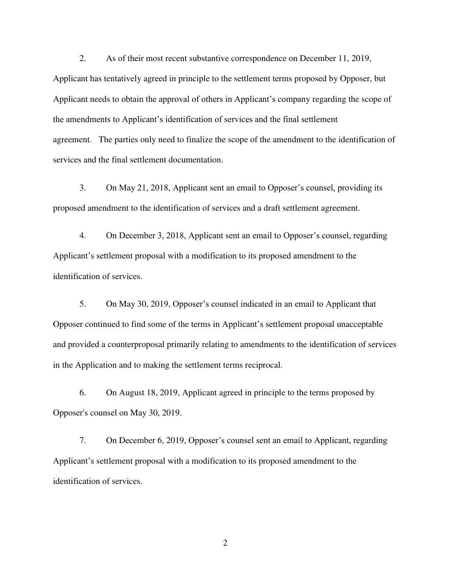2. As of their most recent substantive correspondence on December 11, 2019, Applicant has tentatively agreed in principle to the settlement terms proposed by Opposer, but Applicant needs to obtain the approval of others in Applicant's company regarding the scope of the amendments to Applicant's identification of services and the final settlement agreement. The parties only need to finalize the scope of the amendment to the identification of services and the final settlement documentation.

3. On May 21, 2018, Applicant sent an email to Opposer's counsel, providing its proposed amendment to the identification of services and a draft settlement agreement.

4. On December 3, 2018, Applicant sent an email to Opposer's counsel, regarding Applicant's settlement proposal with a modification to its proposed amendment to the identification of services.

5. On May 30, 2019, Opposer's counsel indicated in an email to Applicant that Opposer continued to find some of the terms in Applicant's settlement proposal unacceptable and provided a counterproposal primarily relating to amendments to the identification of services in the Application and to making the settlement terms reciprocal.

6. On August 18, 2019, Applicant agreed in principle to the terms proposed by Opposer's counsel on May 30, 2019.

7. On December 6, 2019, Opposer's counsel sent an email to Applicant, regarding Applicant's settlement proposal with a modification to its proposed amendment to the identification of services.

2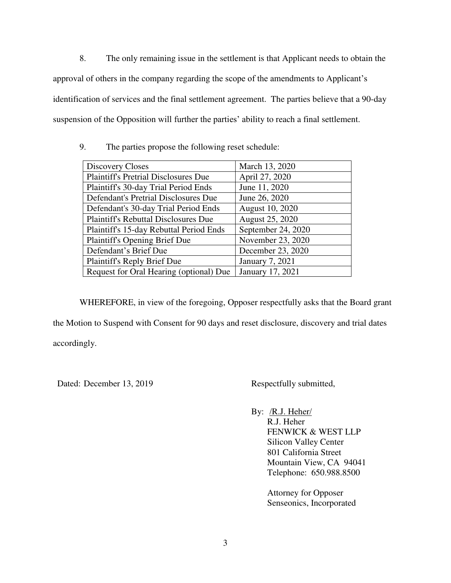8. The only remaining issue in the settlement is that Applicant needs to obtain the approval of others in the company regarding the scope of the amendments to Applicant's identification of services and the final settlement agreement. The parties believe that a 90-day suspension of the Opposition will further the parties' ability to reach a final settlement.

9. The parties propose the following reset schedule:

| Discovery Closes                            | March 13, 2020     |
|---------------------------------------------|--------------------|
| <b>Plaintiff's Pretrial Disclosures Due</b> | April 27, 2020     |
| Plaintiff's 30-day Trial Period Ends        | June 11, 2020      |
| Defendant's Pretrial Disclosures Due        | June 26, 2020      |
| Defendant's 30-day Trial Period Ends        | August 10, 2020    |
| <b>Plaintiff's Rebuttal Disclosures Due</b> | August 25, 2020    |
| Plaintiff's 15-day Rebuttal Period Ends     | September 24, 2020 |
| <b>Plaintiff's Opening Brief Due</b>        | November 23, 2020  |
| Defendant's Brief Due                       | December 23, 2020  |
| <b>Plaintiff's Reply Brief Due</b>          | January 7, 2021    |
| Request for Oral Hearing (optional) Due     | January 17, 2021   |

WHEREFORE, in view of the foregoing, Opposer respectfully asks that the Board grant the Motion to Suspend with Consent for 90 days and reset disclosure, discovery and trial dates accordingly.

Dated: December 13, 2019 Respectfully submitted,

By: /R.J. Heher/ R.J. Heher FENWICK & WEST LLP Silicon Valley Center 801 California Street Mountain View, CA 94041 Telephone: 650.988.8500

> Attorney for Opposer Senseonics, Incorporated